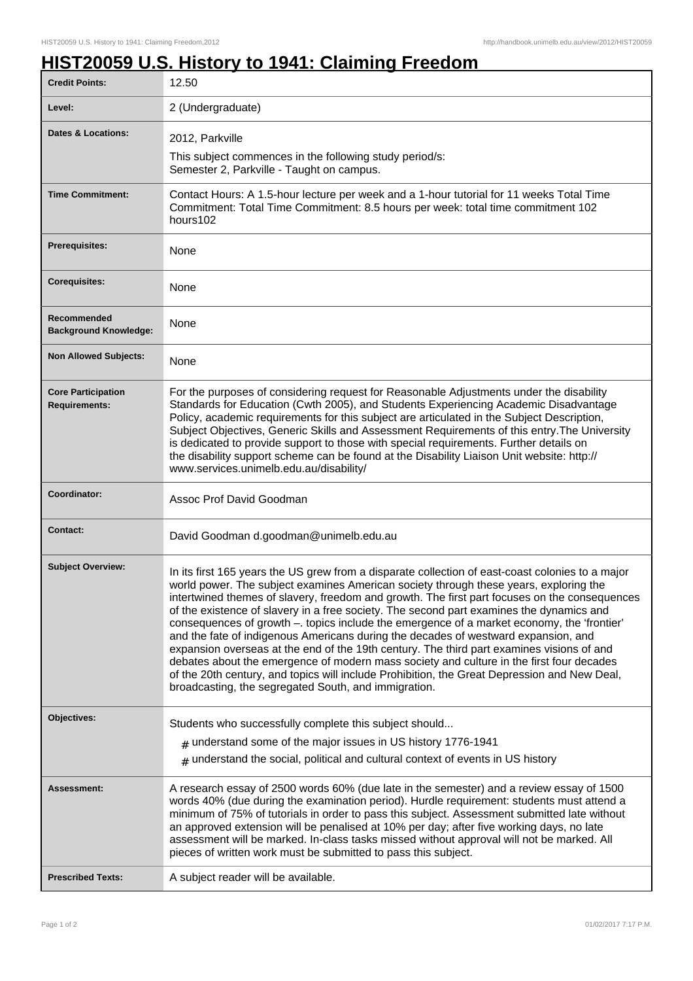## **HIST20059 U.S. History to 1941: Claiming Freedom**

| <b>Credit Points:</b>                             | 12.50                                                                                                                                                                                                                                                                                                                                                                                                                                                                                                                                                                                                                                                                                                                                                                                                                                                                                                                       |
|---------------------------------------------------|-----------------------------------------------------------------------------------------------------------------------------------------------------------------------------------------------------------------------------------------------------------------------------------------------------------------------------------------------------------------------------------------------------------------------------------------------------------------------------------------------------------------------------------------------------------------------------------------------------------------------------------------------------------------------------------------------------------------------------------------------------------------------------------------------------------------------------------------------------------------------------------------------------------------------------|
| Level:                                            | 2 (Undergraduate)                                                                                                                                                                                                                                                                                                                                                                                                                                                                                                                                                                                                                                                                                                                                                                                                                                                                                                           |
| <b>Dates &amp; Locations:</b>                     | 2012, Parkville                                                                                                                                                                                                                                                                                                                                                                                                                                                                                                                                                                                                                                                                                                                                                                                                                                                                                                             |
|                                                   | This subject commences in the following study period/s:<br>Semester 2, Parkville - Taught on campus.                                                                                                                                                                                                                                                                                                                                                                                                                                                                                                                                                                                                                                                                                                                                                                                                                        |
| <b>Time Commitment:</b>                           | Contact Hours: A 1.5-hour lecture per week and a 1-hour tutorial for 11 weeks Total Time<br>Commitment: Total Time Commitment: 8.5 hours per week: total time commitment 102<br>hours102                                                                                                                                                                                                                                                                                                                                                                                                                                                                                                                                                                                                                                                                                                                                    |
| Prerequisites:                                    | None                                                                                                                                                                                                                                                                                                                                                                                                                                                                                                                                                                                                                                                                                                                                                                                                                                                                                                                        |
| <b>Corequisites:</b>                              | None                                                                                                                                                                                                                                                                                                                                                                                                                                                                                                                                                                                                                                                                                                                                                                                                                                                                                                                        |
| Recommended<br><b>Background Knowledge:</b>       | None                                                                                                                                                                                                                                                                                                                                                                                                                                                                                                                                                                                                                                                                                                                                                                                                                                                                                                                        |
| <b>Non Allowed Subjects:</b>                      | None                                                                                                                                                                                                                                                                                                                                                                                                                                                                                                                                                                                                                                                                                                                                                                                                                                                                                                                        |
| <b>Core Participation</b><br><b>Requirements:</b> | For the purposes of considering request for Reasonable Adjustments under the disability<br>Standards for Education (Cwth 2005), and Students Experiencing Academic Disadvantage<br>Policy, academic requirements for this subject are articulated in the Subject Description,<br>Subject Objectives, Generic Skills and Assessment Requirements of this entry. The University<br>is dedicated to provide support to those with special requirements. Further details on<br>the disability support scheme can be found at the Disability Liaison Unit website: http://<br>www.services.unimelb.edu.au/disability/                                                                                                                                                                                                                                                                                                            |
|                                                   |                                                                                                                                                                                                                                                                                                                                                                                                                                                                                                                                                                                                                                                                                                                                                                                                                                                                                                                             |
| Coordinator:                                      | Assoc Prof David Goodman                                                                                                                                                                                                                                                                                                                                                                                                                                                                                                                                                                                                                                                                                                                                                                                                                                                                                                    |
| Contact:                                          | David Goodman d.goodman@unimelb.edu.au                                                                                                                                                                                                                                                                                                                                                                                                                                                                                                                                                                                                                                                                                                                                                                                                                                                                                      |
| <b>Subject Overview:</b>                          | In its first 165 years the US grew from a disparate collection of east-coast colonies to a major<br>world power. The subject examines American society through these years, exploring the<br>intertwined themes of slavery, freedom and growth. The first part focuses on the consequences<br>of the existence of slavery in a free society. The second part examines the dynamics and<br>consequences of growth -. topics include the emergence of a market economy, the 'frontier'<br>and the fate of indigenous Americans during the decades of westward expansion, and<br>expansion overseas at the end of the 19th century. The third part examines visions of and<br>debates about the emergence of modern mass society and culture in the first four decades<br>of the 20th century, and topics will include Prohibition, the Great Depression and New Deal,<br>broadcasting, the segregated South, and immigration. |
| Objectives:                                       | Students who successfully complete this subject should                                                                                                                                                                                                                                                                                                                                                                                                                                                                                                                                                                                                                                                                                                                                                                                                                                                                      |
|                                                   | $#$ understand some of the major issues in US history 1776-1941                                                                                                                                                                                                                                                                                                                                                                                                                                                                                                                                                                                                                                                                                                                                                                                                                                                             |
|                                                   | $#$ understand the social, political and cultural context of events in US history                                                                                                                                                                                                                                                                                                                                                                                                                                                                                                                                                                                                                                                                                                                                                                                                                                           |
| Assessment:                                       | A research essay of 2500 words 60% (due late in the semester) and a review essay of 1500<br>words 40% (due during the examination period). Hurdle requirement: students must attend a<br>minimum of 75% of tutorials in order to pass this subject. Assessment submitted late without<br>an approved extension will be penalised at 10% per day; after five working days, no late<br>assessment will be marked. In-class tasks missed without approval will not be marked. All<br>pieces of written work must be submitted to pass this subject.                                                                                                                                                                                                                                                                                                                                                                            |